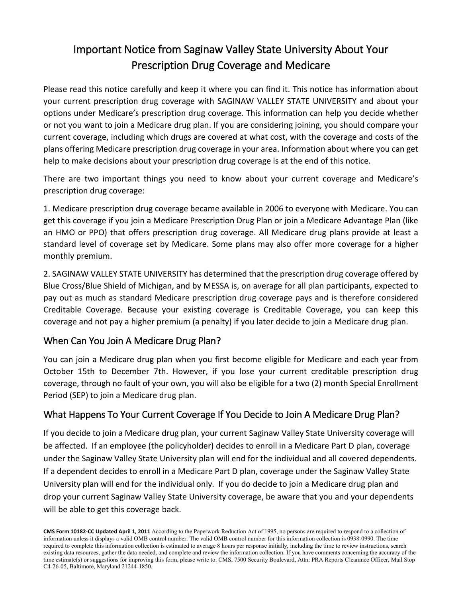# Important Notice from Saginaw Valley State University About Your Prescription Drug Coverage and Medicare

Please read this notice carefully and keep it where you can find it. This notice has information about your current prescription drug coverage with SAGINAW VALLEY STATE UNIVERSITY and about your options under Medicare's prescription drug coverage. This information can help you decide whether or not you want to join a Medicare drug plan. If you are considering joining, you should compare your current coverage, including which drugs are covered at what cost, with the coverage and costs of the plans offering Medicare prescription drug coverage in your area. Information about where you can get help to make decisions about your prescription drug coverage is at the end of this notice.

There are two important things you need to know about your current coverage and Medicare's prescription drug coverage:

1. Medicare prescription drug coverage became available in 2006 to everyone with Medicare. You can get this coverage if you join a Medicare Prescription Drug Plan or join a Medicare Advantage Plan (like an HMO or PPO) that offers prescription drug coverage. All Medicare drug plans provide at least a standard level of coverage set by Medicare. Some plans may also offer more coverage for a higher monthly premium.

2. SAGINAW VALLEY STATE UNIVERSITY has determined that the prescription drug coverage offered by Blue Cross/Blue Shield of Michigan, and by MESSA is, on average for all plan participants, expected to pay out as much as standard Medicare prescription drug coverage pays and is therefore considered Creditable Coverage. Because your existing coverage is Creditable Coverage, you can keep this coverage and not pay a higher premium (a penalty) if you later decide to join a Medicare drug plan.

### When Can You Join A Medicare Drug Plan?

You can join a Medicare drug plan when you first become eligible for Medicare and each year from October 15th to December 7th. However, if you lose your current creditable prescription drug coverage, through no fault of your own, you will also be eligible for a two (2) month Special Enrollment Period (SEP) to join a Medicare drug plan.

## What Happens To Your Current Coverage If You Decide to Join A Medicare Drug Plan?

If you decide to join a Medicare drug plan, your current Saginaw Valley State University coverage will be affected. If an employee (the policyholder) decides to enroll in a Medicare Part D plan, coverage under the Saginaw Valley State University plan will end for the individual and all covered dependents. If a dependent decides to enroll in a Medicare Part D plan, coverage under the Saginaw Valley State University plan will end for the individual only. If you do decide to join a Medicare drug plan and drop your current Saginaw Valley State University coverage, be aware that you and your dependents will be able to get this coverage back.

**CMS Form 10182-CC Updated April 1, 2011** According to the Paperwork Reduction Act of 1995, no persons are required to respond to a collection of information unless it displays a valid OMB control number. The valid OMB control number for this information collection is 0938-0990. The time required to complete this information collection is estimated to average 8 hours per response initially, including the time to review instructions, search existing data resources, gather the data needed, and complete and review the information collection. If you have comments concerning the accuracy of the time estimate(s) or suggestions for improving this form, please write to: CMS, 7500 Security Boulevard, Attn: PRA Reports Clearance Officer, Mail Stop C4-26-05, Baltimore, Maryland 21244-1850.